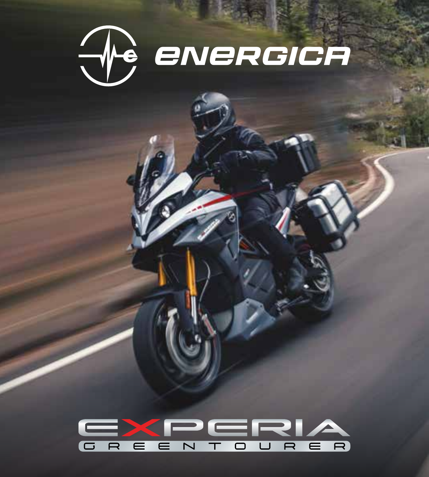

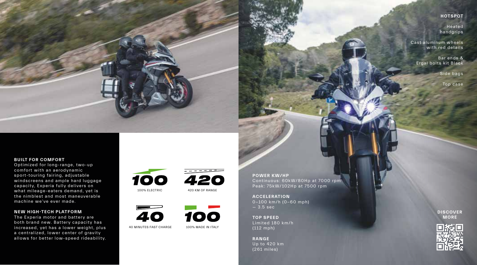## **HOTSPOT**

Heated handgrips

Cast aluminum wheels with red details

> Bar ends & Ergal bolts kit Black

> > Side bags

Top case

## **BUILT FOR COMFORT**

Optimized for long-range, two-up comfort with an aerodynamic sport-touring fairing, adjustable windscreens and ample hard luggage capacity, Experia fully delivers on what mileage-eaters demand, yet is the nimblest and most maneuverable machine we've ever made.

## **NEW HIGH-TECH PLATFORM**

The Experia motor and battery are both brand new. Battery capacity has increased, yet has a lower weight, plus a centralized, lower center of gravity allows for better low-speed rideability.





420 KM OF RANGE



100% MADE IN ITALY

**POWER KW/HP** Continuous: 60kW/80Hp at 7000 rpm Peak: 75kW/102Hp at 7500 rpm

**ACCELERATION** 0-100 km/h (0-60 mph) — 3.5 sec

**TOP SPEED** Limited 180 km/h (112 mph)

**RANGE** Up to 420 km (261 miles)

**DISCOVER MORE**